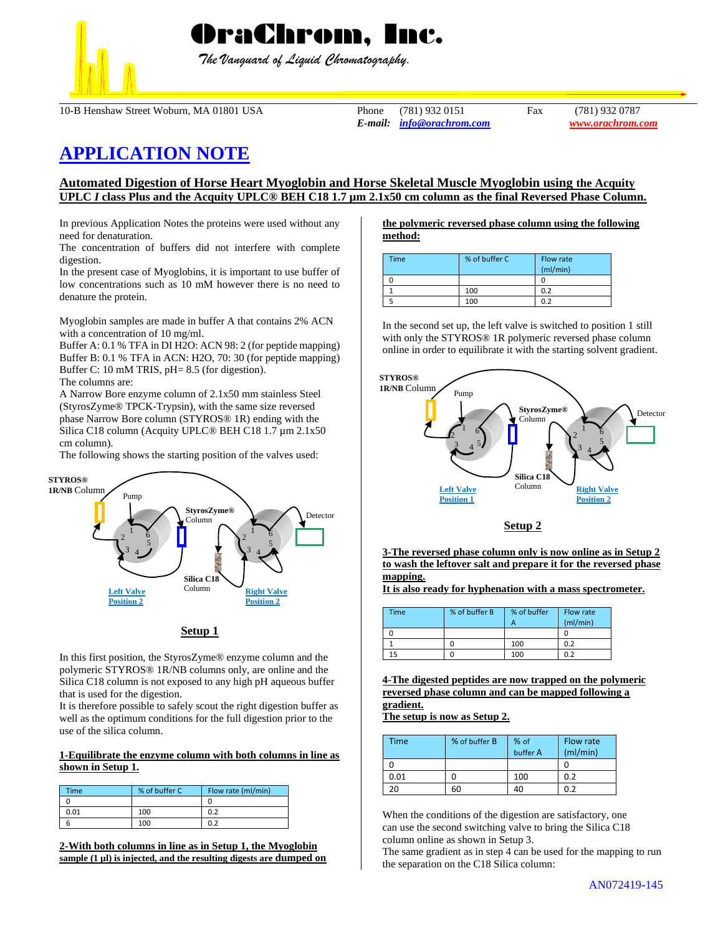

 *The Vanguard of Liquid Chromatography.*

10-B Henshaw Street Woburn, MA 01801 USA Phone (781) 932 0151 Fax (781) 932 0787

*E-mail: [info@orachrom.com](mailto:info@orachrom.com) www.orachrom.com*

# **APPLICATION NOTE**

## **Automated Digestion of Horse Heart Myoglobin and Horse Skeletal Muscle Myoglobin using the Acquity UPLC** *I* **class Plus and the Acquity UPLC® BEH C18 1.7 µm 2.1x50 cm column as the final Reversed Phase Column.**

In previous Application Notes the proteins were used without any need for denaturation.

The concentration of buffers did not interfere with complete digestion.

In the present case of Myoglobins, it is important to use buffer of low concentrations such as 10 mM however there is no need to denature the protein.

Myoglobin samples are made in buffer A that contains 2% ACN with a concentration of 10 mg/ml.

Buffer A: 0.1 % TFA in DI H2O: ACN 98: 2 (for peptide mapping) Buffer B: 0.1 % TFA in ACN: H2O, 70: 30 (for peptide mapping) Buffer C: 10 mM TRIS, pH= 8.5 (for digestion). The columns are:

A Narrow Bore enzyme column of 2.1x50 mm stainless Steel (StyrosZyme® TPCK-Trypsin), with the same size reversed phase Narrow Bore column (STYROS® 1R) ending with the Silica C18 column (Acquity UPLC® BEH C18 1.7 µm 2.1x50 cm column).

The following shows the starting position of the valves used:



## **Setup 1**

In this first position, the StyrosZyme® enzyme column and the polymeric STYROS® 1R/NB columns only, are online and the Silica C18 column is not exposed to any high pH aqueous buffer that is used for the digestion.

It is therefore possible to safely scout the right digestion buffer as well as the optimum conditions for the full digestion prior to the use of the silica column.

### **1-Equilibrate the enzyme column with both columns in line as shown in Setup 1.**

| Time | % of buffer C | Flow rate (ml/min) |
|------|---------------|--------------------|
|      |               |                    |
| 0.01 | 100           | 0.2                |
|      | 100           |                    |

**2-With both columns in line as in Setup 1, the Myoglobin sample (1 µl) is injected, and the resulting digests are dumped on**

#### **the polymeric reversed phase column using the following method:**

| Time | % of buffer C | Flow rate<br>(mI/min) |
|------|---------------|-----------------------|
|      |               |                       |
|      | 100           | 0.2                   |
|      | 100           | በ ን                   |

In the second set up, the left valve is switched to position 1 still with only the STYROS® 1R polymeric reversed phase column online in order to equilibrate it with the starting solvent gradient.



## **Setup 2**

**3-The reversed phase column only is now online as in Setup 2 to wash the leftover salt and prepare it for the reversed phase mapping.** 

**It is also ready for hyphenation with a mass spectrometer.** 

| <b>Time</b> | % of buffer B | % of buffer<br>А | Flow rate<br>(mI/min) |
|-------------|---------------|------------------|-----------------------|
|             |               |                  |                       |
|             |               | 100              | 0.2                   |
| 15          |               | 100              | 0.2                   |

**4-The digested peptides are now trapped on the polymeric reversed phase column and can be mapped following a gradient.**

**The setup is now as Setup 2.**

| <b>Time</b> | % of buffer B | % of<br>buffer A | Flow rate<br>(mI/min) |
|-------------|---------------|------------------|-----------------------|
|             |               |                  |                       |
| 0.01        |               | 100              | 0.2                   |
| 20          |               | 40               | በ ን                   |

When the conditions of the digestion are satisfactory, one can use the second switching valve to bring the Silica C18 column online as shown in Setup 3.

The same gradient as in step 4 can be used for the mapping to run the separation on the C18 Silica column: